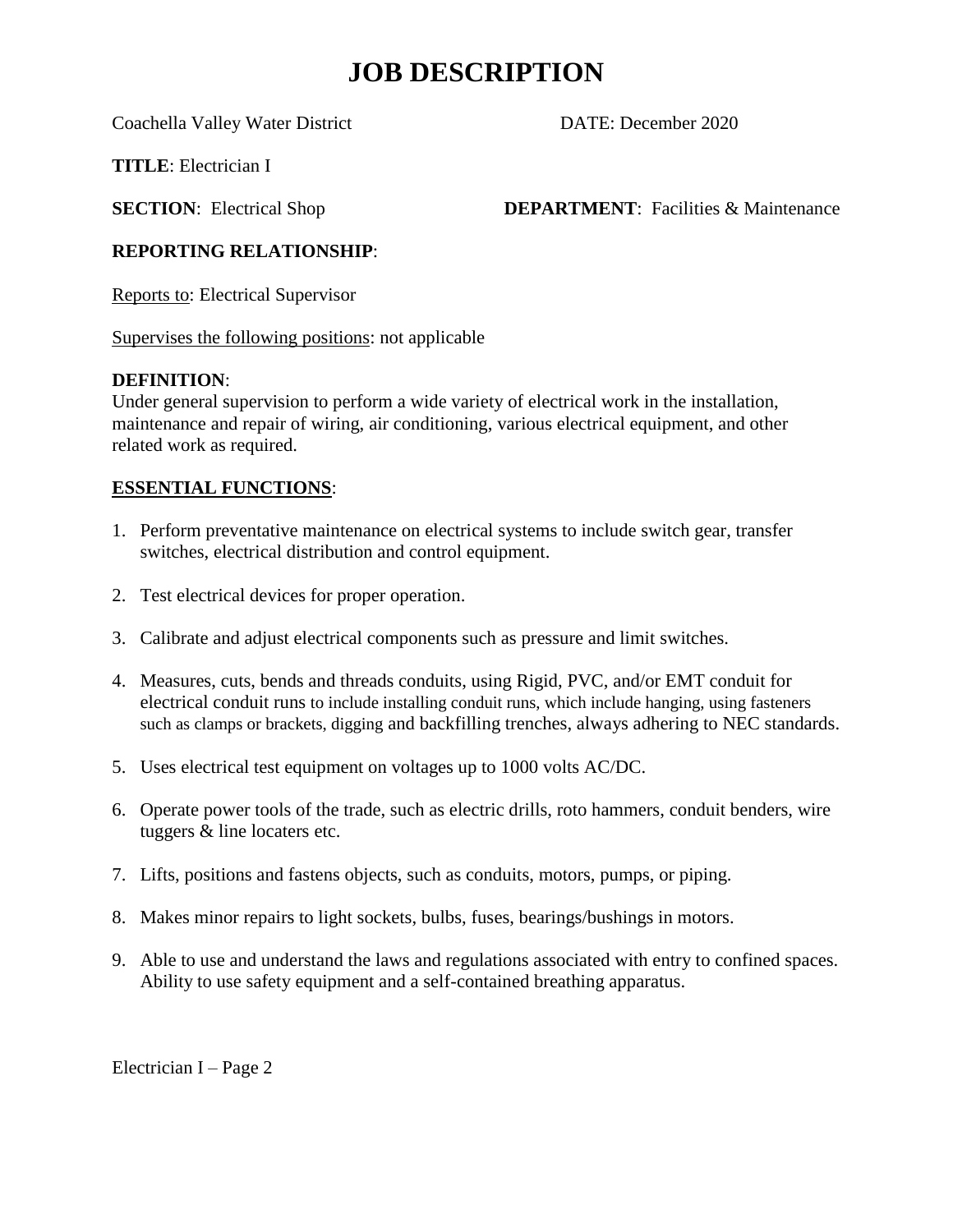# **JOB DESCRIPTION**

Coachella Valley Water District DATE: December 2020

**TITLE**: Electrician I

**SECTION:** Electrical Shop **DEPARTMENT**: Facilities & Maintenance

## **REPORTING RELATIONSHIP**:

Reports to: Electrical Supervisor

Supervises the following positions: not applicable

## **DEFINITION**:

Under general supervision to perform a wide variety of electrical work in the installation, maintenance and repair of wiring, air conditioning, various electrical equipment, and other related work as required.

# **ESSENTIAL FUNCTIONS**:

- 1. Perform preventative maintenance on electrical systems to include switch gear, transfer switches, electrical distribution and control equipment.
- 2. Test electrical devices for proper operation.
- 3. Calibrate and adjust electrical components such as pressure and limit switches.
- 4. Measures, cuts, bends and threads conduits, using Rigid, PVC, and/or EMT conduit for electrical conduit runs to include installing conduit runs, which include hanging, using fasteners such as clamps or brackets, digging and backfilling trenches, always adhering to NEC standards.
- 5. Uses electrical test equipment on voltages up to 1000 volts AC/DC.
- 6. Operate power tools of the trade, such as electric drills, roto hammers, conduit benders, wire tuggers & line locaters etc.
- 7. Lifts, positions and fastens objects, such as conduits, motors, pumps, or piping.
- 8. Makes minor repairs to light sockets, bulbs, fuses, bearings/bushings in motors.
- 9. Able to use and understand the laws and regulations associated with entry to confined spaces. Ability to use safety equipment and a self-contained breathing apparatus.

Electrician I – Page 2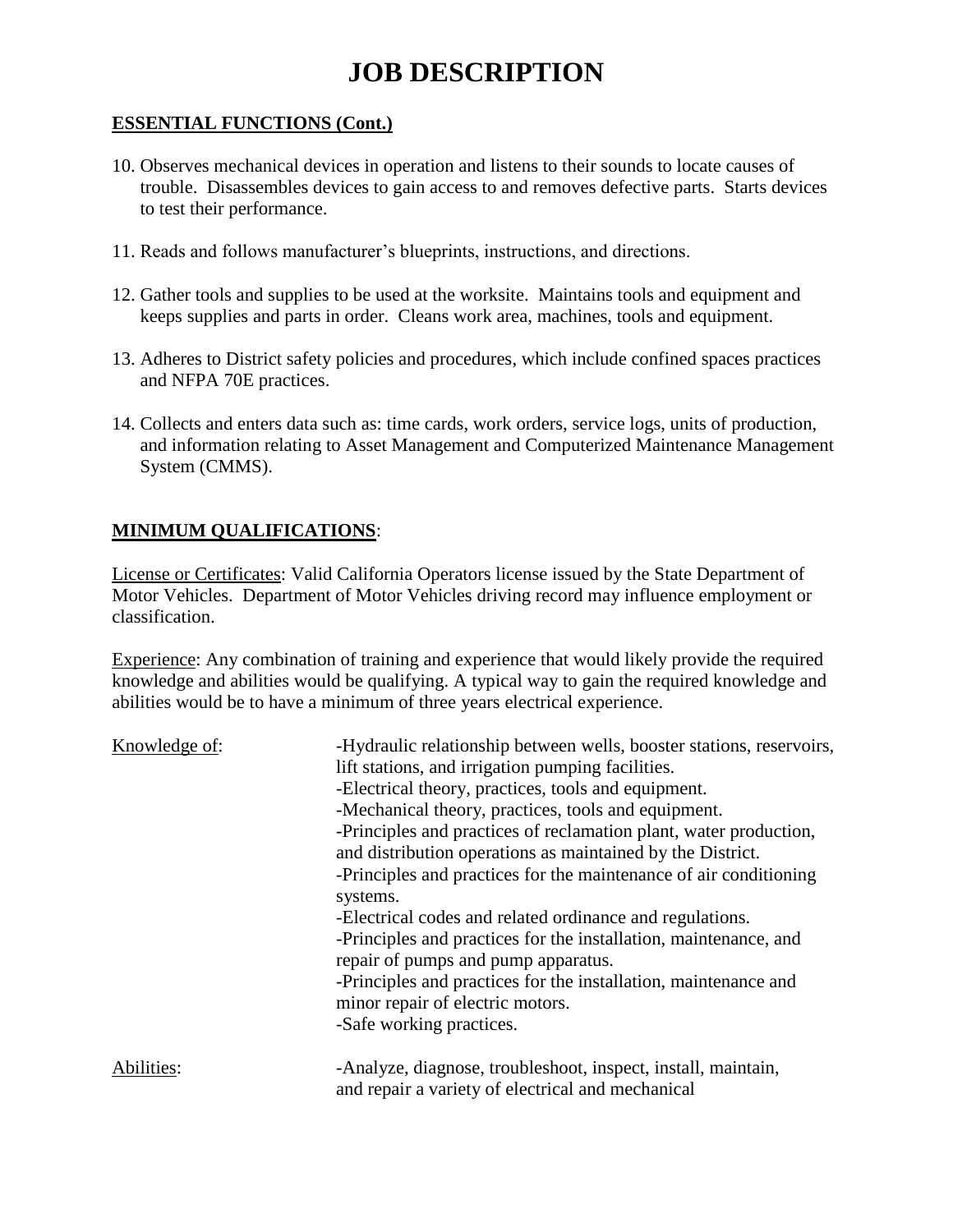# **JOB DESCRIPTION**

#### **ESSENTIAL FUNCTIONS (Cont.)**

- 10. Observes mechanical devices in operation and listens to their sounds to locate causes of trouble. Disassembles devices to gain access to and removes defective parts. Starts devices to test their performance.
- 11. Reads and follows manufacturer's blueprints, instructions, and directions.
- 12. Gather tools and supplies to be used at the worksite. Maintains tools and equipment and keeps supplies and parts in order. Cleans work area, machines, tools and equipment.
- 13. Adheres to District safety policies and procedures, which include confined spaces practices and NFPA 70E practices.
- 14. Collects and enters data such as: time cards, work orders, service logs, units of production, and information relating to Asset Management and Computerized Maintenance Management System (CMMS).

## **MINIMUM QUALIFICATIONS**:

License or Certificates: Valid California Operators license issued by the State Department of Motor Vehicles. Department of Motor Vehicles driving record may influence employment or classification.

Experience: Any combination of training and experience that would likely provide the required knowledge and abilities would be qualifying. A typical way to gain the required knowledge and abilities would be to have a minimum of three years electrical experience.

| Knowledge of: | -Hydraulic relationship between wells, booster stations, reservoirs,<br>lift stations, and irrigation pumping facilities.<br>-Electrical theory, practices, tools and equipment.<br>-Mechanical theory, practices, tools and equipment.<br>-Principles and practices of reclamation plant, water production,<br>and distribution operations as maintained by the District.<br>-Principles and practices for the maintenance of air conditioning<br>systems.<br>-Electrical codes and related ordinance and regulations.<br>-Principles and practices for the installation, maintenance, and<br>repair of pumps and pump apparatus.<br>-Principles and practices for the installation, maintenance and<br>minor repair of electric motors.<br>-Safe working practices. |
|---------------|-----------------------------------------------------------------------------------------------------------------------------------------------------------------------------------------------------------------------------------------------------------------------------------------------------------------------------------------------------------------------------------------------------------------------------------------------------------------------------------------------------------------------------------------------------------------------------------------------------------------------------------------------------------------------------------------------------------------------------------------------------------------------|
| Abilities:    | -Analyze, diagnose, troubleshoot, inspect, install, maintain,<br>and repair a variety of electrical and mechanical                                                                                                                                                                                                                                                                                                                                                                                                                                                                                                                                                                                                                                                    |